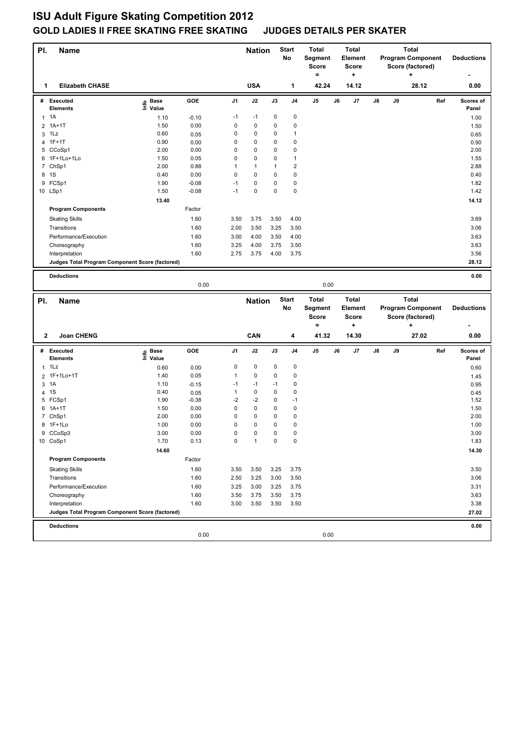| PI. | <b>Name</b>                                     |                   |              |                | <b>Nation</b> |              | Start<br>No  | <b>Total</b><br>Segment<br>Score<br>$\equiv$ | <b>Total</b><br>Element<br><b>Score</b><br>+ |                                |    | <b>Total</b><br><b>Program Component</b><br>Score (factored) | <b>Deductions</b>                            |     |                   |
|-----|-------------------------------------------------|-------------------|--------------|----------------|---------------|--------------|--------------|----------------------------------------------|----------------------------------------------|--------------------------------|----|--------------------------------------------------------------|----------------------------------------------|-----|-------------------|
| 1   | <b>Elizabeth CHASE</b>                          |                   |              |                | <b>USA</b>    |              | 1            | 42.24                                        |                                              | 14.12                          |    |                                                              | 28.12                                        |     | 0.00              |
|     | # Executed                                      | e Base<br>⊆ Value | GOE          | J <sub>1</sub> | J2            | J3           | J4           | $\mathsf{J}5$                                | J6                                           | J7                             | J8 | J9                                                           |                                              | Ref | Scores of         |
|     | <b>Elements</b>                                 |                   |              |                |               |              |              |                                              |                                              |                                |    |                                                              |                                              |     | Panel             |
|     | $1 \t1A$                                        | 1.10              | $-0.10$      | $-1$           | $-1$          | 0            | 0            |                                              |                                              |                                |    |                                                              |                                              |     | 1.00              |
| 2   | $1A+1T$                                         | 1.50              | 0.00         | 0              | 0             | 0            | 0            |                                              |                                              |                                |    |                                                              |                                              |     | 1.50              |
|     | $3$ 1Lz                                         | 0.60              | 0.05         | 0              | 0             | 0            | 1            |                                              |                                              |                                |    |                                                              |                                              |     | 0.65              |
| 4   | $1F+1T$<br>5 CCoSp1                             | 0.90<br>2.00      | 0.00<br>0.00 | 0<br>0         | 0<br>0        | 0<br>0       | 0<br>0       |                                              |                                              |                                |    |                                                              |                                              |     | 0.90<br>2.00      |
| 6   | 1F+1Lo+1Lo                                      | 1.50              | 0.05         | 0              | 0             | 0            | 1            |                                              |                                              |                                |    |                                                              |                                              |     | 1.55              |
|     | 7 ChSp1                                         | 2.00              | 0.88         | 1              | $\mathbf{1}$  | 1            | $\mathbf 2$  |                                              |                                              |                                |    |                                                              |                                              |     | 2.88              |
|     | 8 1S                                            | 0.40              | 0.00         | 0              | 0             | 0            | 0            |                                              |                                              |                                |    |                                                              |                                              |     | 0.40              |
| 9   | FCSp1                                           | 1.90              | $-0.08$      | $-1$           | 0             | 0            | 0            |                                              |                                              |                                |    |                                                              |                                              |     | 1.82              |
|     | 10 LSp1                                         | 1.50              | $-0.08$      | $-1$           | 0             | 0            | 0            |                                              |                                              |                                |    |                                                              |                                              |     | 1.42              |
|     |                                                 | 13.40             |              |                |               |              |              |                                              |                                              |                                |    |                                                              |                                              |     | 14.12             |
|     | <b>Program Components</b>                       |                   | Factor       |                |               |              |              |                                              |                                              |                                |    |                                                              |                                              |     |                   |
|     | <b>Skating Skills</b>                           |                   | 1.60         | 3.50           | 3.75          | 3.50         | 4.00         |                                              |                                              |                                |    |                                                              |                                              |     | 3.69              |
|     | Transitions                                     |                   | 1.60         | 2.00           | 3.50          | 3.25         | 3.50         |                                              |                                              |                                |    |                                                              |                                              |     | 3.06              |
|     | Performance/Execution                           |                   | 1.60         | 3.00           | 4.00          | 3.50         | 4.00         |                                              |                                              |                                |    |                                                              |                                              |     | 3.63              |
|     | Choreography                                    |                   | 1.60         | 3.25           | 4.00          | 3.75         | 3.50         |                                              |                                              |                                |    |                                                              |                                              |     | 3.63              |
|     | Interpretation                                  |                   | 1.60         | 2.75           | 3.75          | 4.00         | 3.75         |                                              |                                              |                                |    |                                                              |                                              |     | 3.56              |
|     | Judges Total Program Component Score (factored) |                   |              |                |               |              |              |                                              |                                              |                                |    |                                                              |                                              |     | 28.12             |
|     | <b>Deductions</b>                               |                   |              |                |               |              |              |                                              |                                              |                                |    |                                                              |                                              |     | 0.00              |
|     |                                                 |                   | 0.00         |                |               |              |              | 0.00                                         |                                              |                                |    |                                                              |                                              |     |                   |
|     |                                                 |                   |              |                |               |              |              |                                              |                                              |                                |    |                                                              |                                              |     |                   |
|     |                                                 |                   |              |                |               |              |              |                                              |                                              |                                |    |                                                              |                                              |     |                   |
| PI. | <b>Name</b>                                     |                   |              |                | <b>Nation</b> |              | <b>Start</b> | <b>Total</b>                                 |                                              | Total                          |    |                                                              | <b>Total</b>                                 |     |                   |
|     |                                                 |                   |              |                |               |              | No           | Segment<br><b>Score</b>                      |                                              | <b>Element</b><br><b>Score</b> |    |                                                              | <b>Program Component</b><br>Score (factored) |     | <b>Deductions</b> |
|     |                                                 |                   |              |                |               |              |              | $\qquad \qquad =$                            |                                              | +                              |    |                                                              | ٠                                            |     |                   |
| 2   | <b>Joan CHENG</b>                               |                   |              |                | CAN           |              | 4            | 41.32                                        |                                              | 14.30                          |    |                                                              | 27.02                                        |     | 0.00              |
|     | # Executed                                      | <b>Base</b>       | GOE          | J1             | J2            | J3           | J4           | J <sub>5</sub>                               | J6                                           | J7                             | J8 | J9                                                           |                                              | Ref | Scores of         |
|     | <b>Elements</b>                                 | e Base<br>⊆ Value |              |                |               |              |              |                                              |                                              |                                |    |                                                              |                                              |     | Panel             |
|     | $1$ 1 Lz                                        | 0.60              | 0.00         | 0              | 0             | 0            | 0            |                                              |                                              |                                |    |                                                              |                                              |     | 0.60              |
| 2   | 1F+1Lo+1T                                       | 1.40              | 0.05         | 1              | 0             | 0            | 0            |                                              |                                              |                                |    |                                                              |                                              |     | 1.45              |
| 3   | 1A                                              | 1.10              | $-0.15$      | $-1$           | $-1$          | $-1$         | 0            |                                              |                                              |                                |    |                                                              |                                              |     | 0.95              |
| 4   | 1S                                              | 0.40              | 0.05         | 1              | 0             | 0            | 0            |                                              |                                              |                                |    |                                                              |                                              |     | 0.45              |
|     | 5 FCSp1                                         | 1.90              | $-0.38$      | $-2$           | $-2$          | 0            | $-1$         |                                              |                                              |                                |    |                                                              |                                              |     | 1.52              |
|     | 6 1A+1T                                         | 1.50              | 0.00         | 0              | 0             | 0            | $\pmb{0}$    |                                              |                                              |                                |    |                                                              |                                              |     | 1.50              |
|     | 7 ChSp1                                         | 2.00              | 0.00         | 0              | 0             | 0            | 0            |                                              |                                              |                                |    |                                                              |                                              |     | 2.00              |
|     | 8 1F+1Lo                                        | 1.00              | 0.00         | 0              | 0             | 0            | 0            |                                              |                                              |                                |    |                                                              |                                              |     | 1.00              |
|     | 9 CCoSp3                                        | 3.00              | 0.00         | 0              | 0             | 0            | 0            |                                              |                                              |                                |    |                                                              |                                              |     | 3.00              |
|     | 10 CoSp1                                        | 1.70              | 0.13         | 0              | $\mathbf{1}$  | 0            | 0            |                                              |                                              |                                |    |                                                              |                                              |     | 1.83              |
|     |                                                 | 14.60             |              |                |               |              |              |                                              |                                              |                                |    |                                                              |                                              |     | 14.30             |
|     | <b>Program Components</b>                       |                   | Factor       |                |               |              |              |                                              |                                              |                                |    |                                                              |                                              |     |                   |
|     | <b>Skating Skills</b>                           |                   | 1.60         | 3.50           | 3.50          | 3.25         | 3.75         |                                              |                                              |                                |    |                                                              |                                              |     | 3.50              |
|     | Transitions                                     |                   | 1.60         | 2.50           | 3.25          | 3.00         | 3.50         |                                              |                                              |                                |    |                                                              |                                              |     | 3.06              |
|     | Performance/Execution                           |                   | 1.60         | 3.25           | 3.00          | 3.25         | 3.75         |                                              |                                              |                                |    |                                                              |                                              |     | 3.31              |
|     | Choreography<br>Interpretation                  |                   | 1.60<br>1.60 | 3.50<br>3.00   | 3.75<br>3.50  | 3.50<br>3.50 | 3.75<br>3.50 |                                              |                                              |                                |    |                                                              |                                              |     | 3.63<br>3.38      |
|     | Judges Total Program Component Score (factored) |                   |              |                |               |              |              |                                              |                                              |                                |    |                                                              |                                              |     | 27.02             |
|     |                                                 |                   |              |                |               |              |              |                                              |                                              |                                |    |                                                              |                                              |     |                   |
|     | <b>Deductions</b>                               |                   | 0.00         |                |               |              |              | 0.00                                         |                                              |                                |    |                                                              |                                              |     | 0.00              |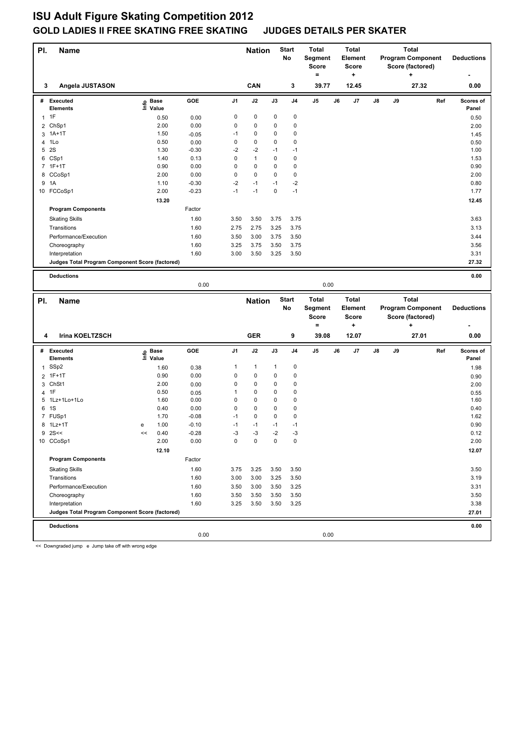| PI.          | Name                                            |      |             |         |                | <b>Nation</b> |              | <b>Start</b><br>No | <b>Total</b><br>Segment<br>Score<br>$=$ |    | <b>Total</b><br><b>Element</b><br><b>Score</b> |    |    | Total<br><b>Program Component</b><br>Score (factored) |     | <b>Deductions</b> |
|--------------|-------------------------------------------------|------|-------------|---------|----------------|---------------|--------------|--------------------|-----------------------------------------|----|------------------------------------------------|----|----|-------------------------------------------------------|-----|-------------------|
| 3            | Angela JUSTASON                                 |      |             |         |                | CAN           |              | 3                  | 39.77                                   |    | ÷<br>12.45                                     |    |    | ٠<br>27.32                                            |     | 0.00              |
|              | # Executed                                      |      | <b>Base</b> | GOE     | J <sub>1</sub> | J2            | J3           | J <sub>4</sub>     | J5                                      | J6 | J7                                             | J8 | J9 |                                                       | Ref | Scores of         |
|              | <b>Elements</b>                                 | lnfo | Value       |         |                |               |              |                    |                                         |    |                                                |    |    |                                                       |     | Panel             |
|              | $1$ 1F                                          |      | 0.50        | 0.00    | 0              | 0             | 0            | 0                  |                                         |    |                                                |    |    |                                                       |     | 0.50              |
| 2            | ChSp1                                           |      | 2.00        | 0.00    | 0              | 0             | 0            | 0                  |                                         |    |                                                |    |    |                                                       |     | 2.00              |
| 3            | $1A+1T$                                         |      | 1.50        | $-0.05$ | $-1$           | 0             | 0            | 0                  |                                         |    |                                                |    |    |                                                       |     | 1.45              |
|              | 4 1Lo                                           |      | 0.50        | 0.00    | 0              | 0             | 0            | $\mathbf 0$        |                                         |    |                                                |    |    |                                                       |     | 0.50              |
| 5            | 2S                                              |      | 1.30        | $-0.30$ | $-2$           | $-2$          | $-1$         | $-1$               |                                         |    |                                                |    |    |                                                       |     | 1.00              |
|              | 6 CSp1                                          |      | 1.40        | 0.13    | 0              | $\mathbf{1}$  | 0            | $\mathbf 0$        |                                         |    |                                                |    |    |                                                       |     | 1.53              |
|              | 7 1F+1T                                         |      | 0.90        | 0.00    | 0              | 0             | 0            | $\pmb{0}$          |                                         |    |                                                |    |    |                                                       |     | 0.90              |
|              | 8 CCoSp1                                        |      | 2.00        | 0.00    | 0              | 0             | 0            | $\pmb{0}$          |                                         |    |                                                |    |    |                                                       |     | 2.00              |
|              | 9 1A                                            |      | 1.10        | $-0.30$ | $-2$           | $-1$          | $-1$         | $-2$               |                                         |    |                                                |    |    |                                                       |     | 0.80              |
|              | 10 FCCoSp1                                      |      | 2.00        | $-0.23$ | $-1$           | $-1$          | 0            | $-1$               |                                         |    |                                                |    |    |                                                       |     | 1.77              |
|              |                                                 |      | 13.20       |         |                |               |              |                    |                                         |    |                                                |    |    |                                                       |     | 12.45             |
|              | <b>Program Components</b>                       |      |             | Factor  |                |               |              |                    |                                         |    |                                                |    |    |                                                       |     |                   |
|              | <b>Skating Skills</b>                           |      |             | 1.60    | 3.50           | 3.50          | 3.75         | 3.75               |                                         |    |                                                |    |    |                                                       |     | 3.63              |
|              | Transitions                                     |      |             | 1.60    | 2.75           | 2.75          | 3.25         | 3.75               |                                         |    |                                                |    |    |                                                       |     | 3.13              |
|              | Performance/Execution                           |      |             | 1.60    | 3.50           | 3.00          | 3.75         | 3.50               |                                         |    |                                                |    |    |                                                       |     | 3.44              |
|              | Choreography                                    |      |             | 1.60    | 3.25           | 3.75          | 3.50         | 3.75               |                                         |    |                                                |    |    |                                                       |     | 3.56              |
|              | Interpretation                                  |      |             | 1.60    | 3.00           | 3.50          | 3.25         | 3.50               |                                         |    |                                                |    |    |                                                       |     | 3.31              |
|              | Judges Total Program Component Score (factored) |      |             |         |                |               |              |                    |                                         |    |                                                |    |    |                                                       |     | 27.32             |
|              |                                                 |      |             |         |                |               |              |                    |                                         |    |                                                |    |    |                                                       |     |                   |
|              | <b>Deductions</b>                               |      |             | 0.00    |                |               |              |                    | 0.00                                    |    |                                                |    |    |                                                       |     | 0.00              |
|              |                                                 |      |             |         |                |               |              |                    |                                         |    |                                                |    |    |                                                       |     |                   |
|              |                                                 |      |             |         |                |               |              |                    |                                         |    |                                                |    |    |                                                       |     |                   |
|              | <b>Name</b>                                     |      |             |         |                |               |              | <b>Start</b>       | <b>Total</b>                            |    | <b>Total</b>                                   |    |    | <b>Total</b>                                          |     |                   |
| PI.          |                                                 |      |             |         |                | <b>Nation</b> |              | No                 | Segment                                 |    | <b>Element</b>                                 |    |    | <b>Program Component</b>                              |     | <b>Deductions</b> |
|              |                                                 |      |             |         |                |               |              |                    | <b>Score</b>                            |    | <b>Score</b>                                   |    |    | Score (factored)                                      |     |                   |
|              |                                                 |      |             |         |                |               |              |                    | $=$                                     |    | +                                              |    |    | ٠                                                     |     |                   |
| 4            | Irina KOELTZSCH                                 |      |             |         |                | <b>GER</b>    |              | 9                  | 39.08                                   |    | 12.07                                          |    |    | 27.01                                                 |     | 0.00              |
|              |                                                 |      |             |         |                |               |              |                    |                                         |    |                                                |    |    |                                                       |     |                   |
|              | # Executed                                      | ڇ    | <b>Base</b> | GOE     | J1             | J2            | J3           | J <sub>4</sub>     | J5                                      | J6 | J7                                             | J8 | J9 |                                                       | Ref | Scores of         |
|              | Elements                                        |      | 도 Value     |         |                |               |              |                    |                                         |    |                                                |    |    |                                                       |     | Panel             |
| $\mathbf{1}$ | SSp2                                            |      | 1.60        | 0.38    | 1              | $\mathbf{1}$  | $\mathbf{1}$ | 0                  |                                         |    |                                                |    |    |                                                       |     | 1.98              |
|              | 2 1F+1T                                         |      | 0.90        | 0.00    | 0              | 0             | 0            | $\pmb{0}$          |                                         |    |                                                |    |    |                                                       |     | 0.90              |
| 3            | ChSt1                                           |      | 2.00        | 0.00    | 0              | 0             | 0            | 0                  |                                         |    |                                                |    |    |                                                       |     | 2.00              |
|              | 4 1F                                            |      | 0.50        | 0.05    | 1              | 0             | 0            | 0                  |                                         |    |                                                |    |    |                                                       |     | 0.55              |
| 5            | 1Lz+1Lo+1Lo                                     |      | 1.60        | 0.00    | 0              | 0             | 0            | 0                  |                                         |    |                                                |    |    |                                                       |     | 1.60              |
|              | 6 1S                                            |      | 0.40        | 0.00    | 0              | 0             | 0            | 0                  |                                         |    |                                                |    |    |                                                       |     | 0.40              |
|              | 7 FUSp1                                         |      | 1.70        | $-0.08$ | $-1$           | 0             | 0            | 0                  |                                         |    |                                                |    |    |                                                       |     | 1.62              |
|              | 8 1Lz+1T                                        | e    | 1.00        | $-0.10$ | $-1$           | $-1$          | $-1$         | -1                 |                                         |    |                                                |    |    |                                                       |     | 0.90              |
|              | $9$ 2S <<                                       | <<   | 0.40        | $-0.28$ | $-3$           | $-3$          | $-2$         | $-3$               |                                         |    |                                                |    |    |                                                       |     | 0.12              |
|              | 10 CCoSp1                                       |      | 2.00        | 0.00    | 0              | 0             | $\pmb{0}$    | 0                  |                                         |    |                                                |    |    |                                                       |     | 2.00              |
|              |                                                 |      | 12.10       |         |                |               |              |                    |                                         |    |                                                |    |    |                                                       |     | 12.07             |
|              | <b>Program Components</b>                       |      |             | Factor  |                |               |              |                    |                                         |    |                                                |    |    |                                                       |     |                   |
|              | <b>Skating Skills</b>                           |      |             | 1.60    | 3.75           | 3.25          | 3.50         | 3.50               |                                         |    |                                                |    |    |                                                       |     | 3.50              |
|              | Transitions                                     |      |             | 1.60    | 3.00           | 3.00          | 3.25         | 3.50               |                                         |    |                                                |    |    |                                                       |     | 3.19              |
|              | Performance/Execution                           |      |             | 1.60    | 3.50           | 3.00          | 3.50         | 3.25               |                                         |    |                                                |    |    |                                                       |     | 3.31              |
|              | Choreography                                    |      |             | 1.60    | 3.50           | 3.50          | 3.50         | 3.50               |                                         |    |                                                |    |    |                                                       |     | 3.50              |
|              | Interpretation                                  |      |             | 1.60    | 3.25           | 3.50          | 3.50         | 3.25               |                                         |    |                                                |    |    |                                                       |     | 3.38              |
|              | Judges Total Program Component Score (factored) |      |             |         |                |               |              |                    |                                         |    |                                                |    |    |                                                       |     | 27.01             |
|              | <b>Deductions</b>                               |      |             |         |                |               |              |                    |                                         |    |                                                |    |    |                                                       |     | 0.00              |
|              |                                                 |      |             | 0.00    |                |               |              |                    | 0.00                                    |    |                                                |    |    |                                                       |     |                   |

<< Downgraded jump e Jump take off with wrong edge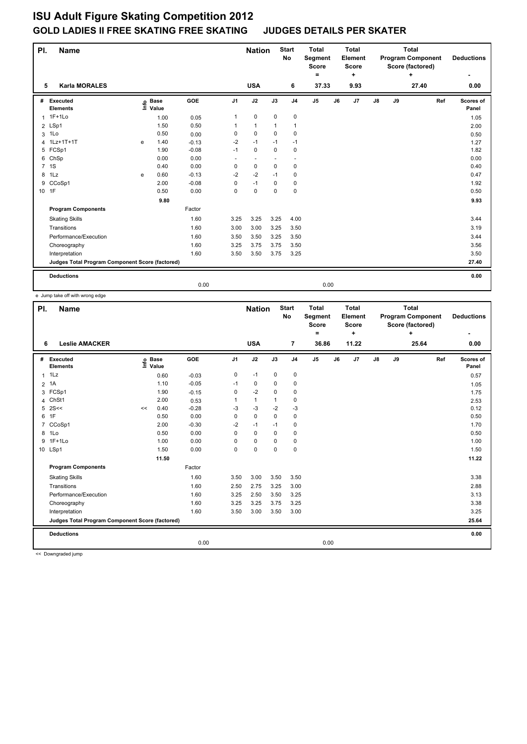| PI.            | <b>Name</b>                                                       |   |                            |                            |              | <b>Nation</b>                            |                                 | <b>Start</b><br><b>No</b>        | <b>Total</b><br>Segment<br><b>Score</b><br>Ξ. |    | <b>Total</b><br>Element<br><b>Score</b><br>٠ | <b>Total</b><br><b>Program Component</b><br>Score (factored)<br>۰. |    |       |     | <b>Deductions</b>    |
|----------------|-------------------------------------------------------------------|---|----------------------------|----------------------------|--------------|------------------------------------------|---------------------------------|----------------------------------|-----------------------------------------------|----|----------------------------------------------|--------------------------------------------------------------------|----|-------|-----|----------------------|
| 5              | <b>Karla MORALES</b>                                              |   |                            |                            |              | <b>USA</b>                               |                                 | 6                                | 37.33                                         |    | 9.93                                         |                                                                    |    | 27.40 |     | 0.00                 |
| #              | Executed<br><b>Elements</b>                                       |   | e Base<br>E Value<br>Value | GOE                        | J1           | J2                                       | J3                              | J <sub>4</sub>                   | J5                                            | J6 | J7                                           | $\mathsf{J}8$                                                      | J9 |       | Ref | Scores of<br>Panel   |
| $\mathbf{1}$   | $1F+1Lo$<br>2 LSp1<br>1Lo                                         |   | 1.00<br>1.50<br>0.50       | 0.05<br>0.50               | 1<br>0       | $\pmb{0}$<br>$\mathbf{1}$<br>$\mathbf 0$ | $\mathbf 0$<br>1<br>$\mathbf 0$ | 0<br>$\mathbf{1}$<br>$\mathbf 0$ |                                               |    |                                              |                                                                    |    |       |     | 1.05<br>2.00         |
| 3<br>4<br>5    | 1Lz+1T+1T<br>FCSp1                                                | e | 1.40<br>1.90               | 0.00<br>$-0.13$<br>$-0.08$ | $-2$<br>$-1$ | $-1$<br>$\mathbf 0$                      | $-1$<br>0                       | $-1$<br>0                        |                                               |    |                                              |                                                                    |    |       |     | 0.50<br>1.27<br>1.82 |
| $\overline{7}$ | 6 ChSp<br>1S                                                      |   | 0.00<br>0.40               | 0.00<br>0.00               | ٠<br>0       | $\overline{\phantom{a}}$<br>$\mathbf 0$  | ٠<br>$\Omega$                   | $\overline{\phantom{a}}$<br>0    |                                               |    |                                              |                                                                    |    |       |     | 0.00<br>0.40         |
| 8<br>9         | 1Lz<br>CCoSp1                                                     | e | 0.60<br>2.00               | $-0.13$<br>$-0.08$         | $-2$<br>0    | $-2$<br>$-1$                             | $-1$<br>0                       | 0<br>0                           |                                               |    |                                              |                                                                    |    |       |     | 0.47<br>1.92         |
|                | 10 1F                                                             |   | 0.50<br>9.80               | 0.00                       | 0            | $\mathbf 0$                              | $\Omega$                        | $\mathbf 0$                      |                                               |    |                                              |                                                                    |    |       |     | 0.50<br>9.93         |
|                | <b>Program Components</b>                                         |   |                            | Factor                     |              |                                          |                                 |                                  |                                               |    |                                              |                                                                    |    |       |     |                      |
|                | <b>Skating Skills</b>                                             |   |                            | 1.60                       | 3.25         | 3.25                                     | 3.25                            | 4.00                             |                                               |    |                                              |                                                                    |    |       |     | 3.44                 |
|                | Transitions                                                       |   |                            | 1.60                       | 3.00         | 3.00                                     | 3.25                            | 3.50                             |                                               |    |                                              |                                                                    |    |       |     | 3.19                 |
|                | Performance/Execution                                             |   |                            | 1.60                       | 3.50         | 3.50                                     | 3.25                            | 3.50                             |                                               |    |                                              |                                                                    |    |       |     | 3.44                 |
|                | Choreography                                                      |   |                            | 1.60                       | 3.25         | 3.75                                     | 3.75                            | 3.50                             |                                               |    |                                              |                                                                    |    |       |     | 3.56                 |
|                | Interpretation<br>Judges Total Program Component Score (factored) |   |                            | 1.60                       | 3.50         | 3.50                                     | 3.75                            | 3.25                             |                                               |    |                                              |                                                                    |    |       |     | 3.50<br>27.40        |
|                |                                                                   |   |                            |                            |              |                                          |                                 |                                  |                                               |    |                                              |                                                                    |    |       |     |                      |
|                | <b>Deductions</b>                                                 |   |                            | 0.00                       |              |                                          |                                 |                                  | 0.00                                          |    |                                              |                                                                    |    |       |     | 0.00                 |

e Jump take off with wrong edge

| PI.<br><b>Name</b> |                                                 |    |                            |         |                | <b>Nation</b> |              | <b>Start</b><br>No | <b>Total</b><br>Segment<br><b>Score</b><br>۰ |    | <b>Total</b><br>Element<br><b>Score</b><br>٠ | <b>Total</b><br><b>Program Component</b><br>Score (factored)<br>÷ |    |       |     | <b>Deductions</b>  |  |
|--------------------|-------------------------------------------------|----|----------------------------|---------|----------------|---------------|--------------|--------------------|----------------------------------------------|----|----------------------------------------------|-------------------------------------------------------------------|----|-------|-----|--------------------|--|
| 6                  | <b>Leslie AMACKER</b>                           |    |                            |         |                | <b>USA</b>    |              | 7                  | 36.86                                        |    | 11.22                                        |                                                                   |    | 25.64 |     | 0.00               |  |
| #                  | Executed<br><b>Elements</b>                     |    | e Base<br>E Value<br>Value | GOE     | J <sub>1</sub> | J2            | J3           | J <sub>4</sub>     | J <sub>5</sub>                               | J6 | J7                                           | $\mathsf{J}8$                                                     | J9 |       | Ref | Scores of<br>Panel |  |
| $\mathbf{1}$       | 1Lz                                             |    | 0.60                       | $-0.03$ | 0              | $-1$          | 0            | $\pmb{0}$          |                                              |    |                                              |                                                                   |    |       |     | 0.57               |  |
|                    | 2 1A                                            |    | 1.10                       | $-0.05$ | $-1$           | 0             | 0            | $\mathbf 0$        |                                              |    |                                              |                                                                   |    |       |     | 1.05               |  |
| 3                  | FCSp1                                           |    | 1.90                       | $-0.15$ | 0              | $-2$          | $\mathbf 0$  | $\mathbf 0$        |                                              |    |                                              |                                                                   |    |       |     | 1.75               |  |
| 4                  | ChSt1                                           |    | 2.00                       | 0.53    | 1              | $\mathbf{1}$  | $\mathbf{1}$ | 0                  |                                              |    |                                              |                                                                   |    |       |     | 2.53               |  |
| 5                  | 2S<<                                            | << | 0.40                       | $-0.28$ | -3             | $-3$          | $-2$         | $-3$               |                                              |    |                                              |                                                                   |    |       |     | 0.12               |  |
| 6                  | 1F                                              |    | 0.50                       | 0.00    | 0              | $\mathbf 0$   | $\mathbf 0$  | $\pmb{0}$          |                                              |    |                                              |                                                                   |    |       |     | 0.50               |  |
| $\overline{7}$     | CCoSp1                                          |    | 2.00                       | $-0.30$ | -2             | $-1$          | $-1$         | 0                  |                                              |    |                                              |                                                                   |    |       |     | 1.70               |  |
| 8                  | 1Lo                                             |    | 0.50                       | 0.00    | $\Omega$       | $\mathbf 0$   | $\Omega$     | 0                  |                                              |    |                                              |                                                                   |    |       |     | 0.50               |  |
| 9                  | $1F+1Lo$                                        |    | 1.00                       | 0.00    | 0              | $\mathbf 0$   | $\mathbf 0$  | $\mathbf 0$        |                                              |    |                                              |                                                                   |    |       |     | 1.00               |  |
|                    | 10 LSp1                                         |    | 1.50                       | 0.00    | 0              | $\mathbf 0$   | $\Omega$     | $\mathbf 0$        |                                              |    |                                              |                                                                   |    |       |     | 1.50               |  |
|                    |                                                 |    | 11.50                      |         |                |               |              |                    |                                              |    |                                              |                                                                   |    |       |     | 11.22              |  |
|                    | <b>Program Components</b>                       |    |                            | Factor  |                |               |              |                    |                                              |    |                                              |                                                                   |    |       |     |                    |  |
|                    | <b>Skating Skills</b>                           |    |                            | 1.60    | 3.50           | 3.00          | 3.50         | 3.50               |                                              |    |                                              |                                                                   |    |       |     | 3.38               |  |
|                    | Transitions                                     |    |                            | 1.60    | 2.50           | 2.75          | 3.25         | 3.00               |                                              |    |                                              |                                                                   |    |       |     | 2.88               |  |
|                    | Performance/Execution                           |    |                            | 1.60    | 3.25           | 2.50          | 3.50         | 3.25               |                                              |    |                                              |                                                                   |    |       |     | 3.13               |  |
|                    | Choreography                                    |    |                            | 1.60    | 3.25           | 3.25          | 3.75         | 3.25               |                                              |    |                                              |                                                                   |    |       |     | 3.38               |  |
|                    | Interpretation                                  |    |                            | 1.60    | 3.50           | 3.00          | 3.50         | 3.00               |                                              |    |                                              |                                                                   |    |       |     | 3.25               |  |
|                    | Judges Total Program Component Score (factored) |    |                            |         |                |               |              |                    |                                              |    |                                              |                                                                   |    |       |     | 25.64              |  |
|                    | <b>Deductions</b>                               |    |                            |         |                |               |              |                    |                                              |    |                                              |                                                                   |    |       |     | 0.00               |  |
|                    |                                                 |    |                            | 0.00    |                |               |              |                    | 0.00                                         |    |                                              |                                                                   |    |       |     |                    |  |
|                    | $\cdots$                                        |    |                            |         |                |               |              |                    |                                              |    |                                              |                                                                   |    |       |     |                    |  |

<< Downgraded jump